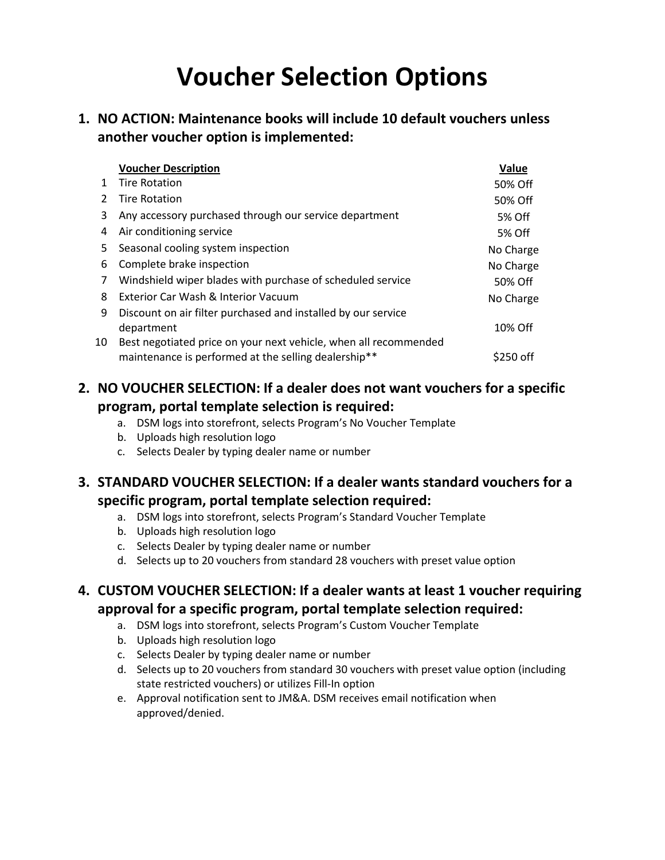# **Voucher Selection Options**

#### **1. NO ACTION: Maintenance books will include 10 default vouchers unless another voucher option is implemented:**

|    | <b>Voucher Description</b>                                       | Value     |
|----|------------------------------------------------------------------|-----------|
| 1. | <b>Tire Rotation</b>                                             | 50% Off   |
| 2  | <b>Tire Rotation</b>                                             | 50% Off   |
| 3  | Any accessory purchased through our service department           | 5% Off    |
| 4  | Air conditioning service                                         | 5% Off    |
| 5. | Seasonal cooling system inspection                               | No Charge |
| 6  | Complete brake inspection                                        | No Charge |
| 7  | Windshield wiper blades with purchase of scheduled service       | 50% Off   |
| 8  | Exterior Car Wash & Interior Vacuum                              | No Charge |
| 9  | Discount on air filter purchased and installed by our service    |           |
|    | department                                                       | 10% Off   |
| 10 | Best negotiated price on your next vehicle, when all recommended |           |
|    | maintenance is performed at the selling dealership**             | \$250 off |

### **2. NO VOUCHER SELECTION: If a dealer does not want vouchers for a specific program, portal template selection is required:**

- a. DSM logs into storefront, selects Program's No Voucher Template
- b. Uploads high resolution logo
- c. Selects Dealer by typing dealer name or number

#### **3. STANDARD VOUCHER SELECTION: If a dealer wants standard vouchers for a specific program, portal template selection required:**

- a. DSM logs into storefront, selects Program's Standard Voucher Template
- b. Uploads high resolution logo
- c. Selects Dealer by typing dealer name or number
- d. Selects up to 20 vouchers from standard 28 vouchers with preset value option

#### **4. CUSTOM VOUCHER SELECTION: If a dealer wants at least 1 voucher requiring approval for a specific program, portal template selection required:**

- a. DSM logs into storefront, selects Program's Custom Voucher Template
- b. Uploads high resolution logo
- c. Selects Dealer by typing dealer name or number
- d. Selects up to 20 vouchers from standard 30 vouchers with preset value option (including state restricted vouchers) or utilizes Fill-In option
- e. Approval notification sent to JM&A. DSM receives email notification when approved/denied.